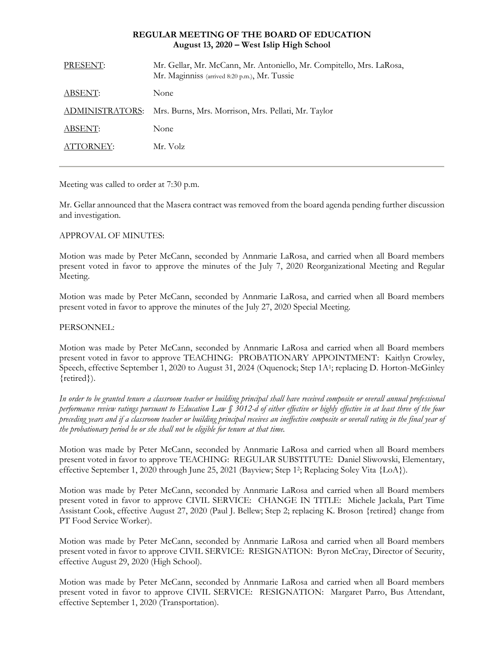# **REGULAR MEETING OF THE BOARD OF EDUCATION August 13, 2020 – West Islip High School**

| PRESENT:               | Mr. Gellar, Mr. McCann, Mr. Antoniello, Mr. Compitello, Mrs. LaRosa,<br>Mr. Maginniss (arrived 8:20 p.m.), Mr. Tussie |
|------------------------|-----------------------------------------------------------------------------------------------------------------------|
| ABSENT:                | <b>None</b>                                                                                                           |
| <b>ADMINISTRATORS:</b> | Mrs. Burns, Mrs. Morrison, Mrs. Pellati, Mr. Taylor                                                                   |
| ABSENT:                | None                                                                                                                  |
| ATTORNEY:              | Mr. Volz                                                                                                              |
|                        |                                                                                                                       |

Meeting was called to order at 7:30 p.m.

Mr. Gellar announced that the Masera contract was removed from the board agenda pending further discussion and investigation.

# APPROVAL OF MINUTES:

Motion was made by Peter McCann, seconded by Annmarie LaRosa, and carried when all Board members present voted in favor to approve the minutes of the July 7, 2020 Reorganizational Meeting and Regular Meeting.

Motion was made by Peter McCann, seconded by Annmarie LaRosa, and carried when all Board members present voted in favor to approve the minutes of the July 27, 2020 Special Meeting.

#### PERSONNEL:

Motion was made by Peter McCann, seconded by Annmarie LaRosa and carried when all Board members present voted in favor to approve TEACHING: PROBATIONARY APPOINTMENT: Kaitlyn Crowley, Speech, effective September 1, 2020 to August 31, 2024 (Oquenock; Step 1A<sup>1</sup>; replacing D. Horton-McGinley {retired}).

*In order to be granted tenure a classroom teacher or building principal shall have received composite or overall annual professional performance review ratings pursuant to Education Law § 3012-d of either effective or highly effective in at least three of the four preceding years and if a classroom teacher or building principal receives an ineffective composite or overall rating in the final year of the probationary period he or she shall not be eligible for tenure at that time.*

Motion was made by Peter McCann, seconded by Annmarie LaRosa and carried when all Board members present voted in favor to approve TEACHING: REGULAR SUBSTITUTE: Daniel Sliwowski, Elementary, effective September 1, 2020 through June 25, 2021 (Bayview; Step 1<sup>2</sup>; Replacing Soley Vita {LoA}).

Motion was made by Peter McCann, seconded by Annmarie LaRosa and carried when all Board members present voted in favor to approve CIVIL SERVICE: CHANGE IN TITLE: Michele Jackala, Part Time Assistant Cook, effective August 27, 2020 (Paul J. Bellew; Step 2; replacing K. Broson {retired} change from PT Food Service Worker).

Motion was made by Peter McCann, seconded by Annmarie LaRosa and carried when all Board members present voted in favor to approve CIVIL SERVICE: RESIGNATION: Byron McCray, Director of Security, effective August 29, 2020 (High School).

Motion was made by Peter McCann, seconded by Annmarie LaRosa and carried when all Board members present voted in favor to approve CIVIL SERVICE: RESIGNATION: Margaret Parro, Bus Attendant, effective September 1, 2020 (Transportation).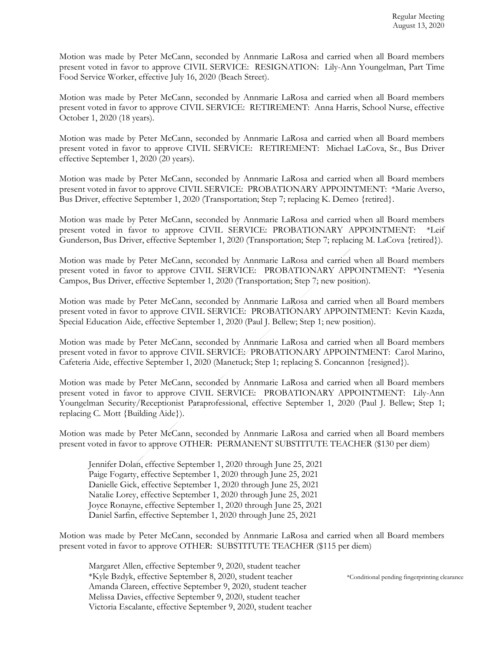Motion was made by Peter McCann, seconded by Annmarie LaRosa and carried when all Board members present voted in favor to approve CIVIL SERVICE: RESIGNATION: Lily-Ann Youngelman, Part Time Food Service Worker, effective July 16, 2020 (Beach Street).

Motion was made by Peter McCann, seconded by Annmarie LaRosa and carried when all Board members present voted in favor to approve CIVIL SERVICE: RETIREMENT: Anna Harris, School Nurse, effective October 1, 2020 (18 years).

Motion was made by Peter McCann, seconded by Annmarie LaRosa and carried when all Board members present voted in favor to approve CIVIL SERVICE: RETIREMENT: Michael LaCova, Sr., Bus Driver effective September 1, 2020 (20 years).

Motion was made by Peter McCann, seconded by Annmarie LaRosa and carried when all Board members present voted in favor to approve CIVIL SERVICE: PROBATIONARY APPOINTMENT: \*Marie Averso, Bus Driver, effective September 1, 2020 (Transportation; Step 7; replacing K. Demeo {retired}.

Motion was made by Peter McCann, seconded by Annmarie LaRosa and carried when all Board members present voted in favor to approve CIVIL SERVICE: PROBATIONARY APPOINTMENT: \*Leif Gunderson, Bus Driver, effective September 1, 2020 (Transportation; Step 7; replacing M. LaCova {retired}).

Motion was made by Peter McCann, seconded by Annmarie LaRosa and carried when all Board members present voted in favor to approve CIVIL SERVICE: PROBATIONARY APPOINTMENT: \*Yesenia Campos, Bus Driver, effective September 1, 2020 (Transportation; Step 7; new position).

Motion was made by Peter McCann, seconded by Annmarie LaRosa and carried when all Board members present voted in favor to approve CIVIL SERVICE: PROBATIONARY APPOINTMENT: Kevin Kazda, Special Education Aide, effective September 1, 2020 (Paul J. Bellew; Step 1; new position).

Motion was made by Peter McCann, seconded by Annmarie LaRosa and carried when all Board members present voted in favor to approve CIVIL SERVICE: PROBATIONARY APPOINTMENT: Carol Marino, Cafeteria Aide, effective September 1, 2020 (Manetuck; Step 1; replacing S. Concannon {resigned}).

Motion was made by Peter McCann, seconded by Annmarie LaRosa and carried when all Board members present voted in favor to approve CIVIL SERVICE: PROBATIONARY APPOINTMENT: Lily-Ann Youngelman Security/Receptionist Paraprofessional, effective September 1, 2020 (Paul J. Bellew; Step 1; replacing C. Mott {Building Aide}).

Motion was made by Peter McCann, seconded by Annmarie LaRosa and carried when all Board members present voted in favor to approve OTHER: PERMANENT SUBSTITUTE TEACHER (\$130 per diem)

Jennifer Dolan, effective September 1, 2020 through June 25, 2021 Paige Fogarty, effective September 1, 2020 through June 25, 2021 Danielle Gick, effective September 1, 2020 through June 25, 2021 Natalie Lorey, effective September 1, 2020 through June 25, 2021 Joyce Ronayne, effective September 1, 2020 through June 25, 2021 Daniel Sarfin, effective September 1, 2020 through June 25, 2021

Motion was made by Peter McCann, seconded by Annmarie LaRosa and carried when all Board members present voted in favor to approve OTHER: SUBSTITUTE TEACHER (\$115 per diem)

Margaret Allen, effective September 9, 2020, student teacher \*Kyle Bzdyk, effective September 8, 2020, student teacher \*Conditional pending fingerprinting clearance Amanda Clareen, effective September 9, 2020, student teacher Melissa Davies, effective September 9, 2020, student teacher Victoria Escalante, effective September 9, 2020, student teacher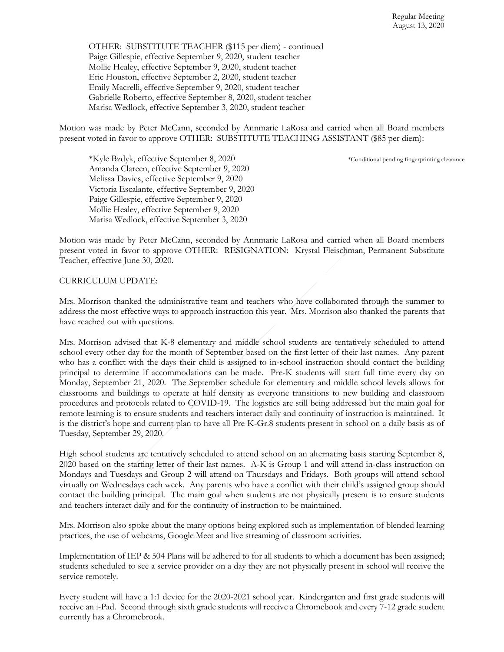OTHER: SUBSTITUTE TEACHER (\$115 per diem) - continued Paige Gillespie, effective September 9, 2020, student teacher Mollie Healey, effective September 9, 2020, student teacher Eric Houston, effective September 2, 2020, student teacher Emily Macrelli, effective September 9, 2020, student teacher Gabrielle Roberto, effective September 8, 2020, student teacher Marisa Wedlock, effective September 3, 2020, student teacher

Motion was made by Peter McCann, seconded by Annmarie LaRosa and carried when all Board members present voted in favor to approve OTHER: SUBSTITUTE TEACHING ASSISTANT (\$85 per diem):

\*Kyle Bzdyk, effective September 8, 2020 \*Conditional pending fingerprinting clearance Amanda Clareen, effective September 9, 2020 Melissa Davies, effective September 9, 2020 Victoria Escalante, effective September 9, 2020 Paige Gillespie, effective September 9, 2020 Mollie Healey, effective September 9, 2020 Marisa Wedlock, effective September 3, 2020

Motion was made by Peter McCann, seconded by Annmarie LaRosa and carried when all Board members present voted in favor to approve OTHER: RESIGNATION: Krystal Fleischman, Permanent Substitute Teacher, effective June 30, 2020.

# CURRICULUM UPDATE:

Mrs. Morrison thanked the administrative team and teachers who have collaborated through the summer to address the most effective ways to approach instruction this year. Mrs. Morrison also thanked the parents that have reached out with questions.

Mrs. Morrison advised that K-8 elementary and middle school students are tentatively scheduled to attend school every other day for the month of September based on the first letter of their last names. Any parent who has a conflict with the days their child is assigned to in-school instruction should contact the building principal to determine if accommodations can be made. Pre-K students will start full time every day on Monday, September 21, 2020. The September schedule for elementary and middle school levels allows for classrooms and buildings to operate at half density as everyone transitions to new building and classroom procedures and protocols related to COVID-19. The logistics are still being addressed but the main goal for remote learning is to ensure students and teachers interact daily and continuity of instruction is maintained. It is the district's hope and current plan to have all Pre K-Gr.8 students present in school on a daily basis as of Tuesday, September 29, 2020.

High school students are tentatively scheduled to attend school on an alternating basis starting September 8, 2020 based on the starting letter of their last names. A-K is Group 1 and will attend in-class instruction on Mondays and Tuesdays and Group 2 will attend on Thursdays and Fridays. Both groups will attend school virtually on Wednesdays each week. Any parents who have a conflict with their child's assigned group should contact the building principal. The main goal when students are not physically present is to ensure students and teachers interact daily and for the continuity of instruction to be maintained.

Mrs. Morrison also spoke about the many options being explored such as implementation of blended learning practices, the use of webcams, Google Meet and live streaming of classroom activities.

Implementation of IEP & 504 Plans will be adhered to for all students to which a document has been assigned; students scheduled to see a service provider on a day they are not physically present in school will receive the service remotely.

Every student will have a 1:1 device for the 2020-2021 school year. Kindergarten and first grade students will receive an i-Pad. Second through sixth grade students will receive a Chromebook and every 7-12 grade student currently has a Chromebrook.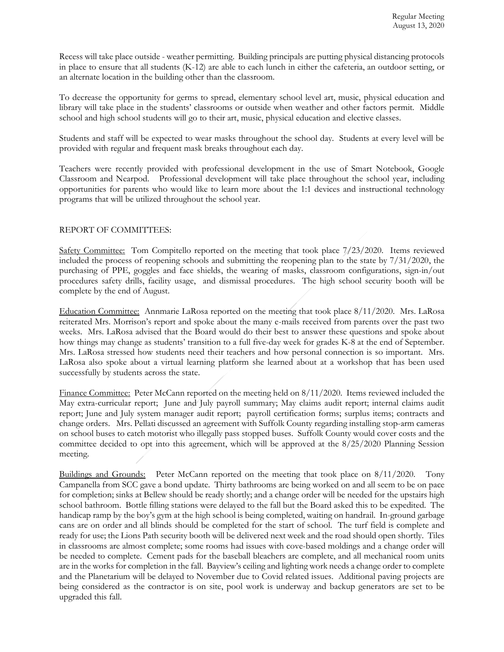Recess will take place outside - weather permitting. Building principals are putting physical distancing protocols in place to ensure that all students (K-12) are able to each lunch in either the cafeteria, an outdoor setting, or an alternate location in the building other than the classroom.

To decrease the opportunity for germs to spread, elementary school level art, music, physical education and library will take place in the students' classrooms or outside when weather and other factors permit. Middle school and high school students will go to their art, music, physical education and elective classes.

Students and staff will be expected to wear masks throughout the school day. Students at every level will be provided with regular and frequent mask breaks throughout each day.

Teachers were recently provided with professional development in the use of Smart Notebook, Google Classroom and Nearpod. Professional development will take place throughout the school year, including opportunities for parents who would like to learn more about the 1:1 devices and instructional technology programs that will be utilized throughout the school year.

#### REPORT OF COMMITTEES:

Safety Committee: Tom Compitello reported on the meeting that took place 7/23/2020. Items reviewed included the process of reopening schools and submitting the reopening plan to the state by 7/31/2020, the purchasing of PPE, goggles and face shields, the wearing of masks, classroom configurations, sign-in/out procedures safety drills, facility usage, and dismissal procedures. The high school security booth will be complete by the end of August.

Education Committee: Annmarie LaRosa reported on the meeting that took place 8/11/2020. Mrs. LaRosa reiterated Mrs. Morrison's report and spoke about the many e-mails received from parents over the past two weeks. Mrs. LaRosa advised that the Board would do their best to answer these questions and spoke about how things may change as students' transition to a full five-day week for grades K-8 at the end of September. Mrs. LaRosa stressed how students need their teachers and how personal connection is so important. Mrs. LaRosa also spoke about a virtual learning platform she learned about at a workshop that has been used successfully by students across the state.

Finance Committee: Peter McCann reported on the meeting held on 8/11/2020. Items reviewed included the May extra-curricular report; June and July payroll summary; May claims audit report; internal claims audit report; June and July system manager audit report; payroll certification forms; surplus items; contracts and change orders. Mrs. Pellati discussed an agreement with Suffolk County regarding installing stop-arm cameras on school buses to catch motorist who illegally pass stopped buses. Suffolk County would cover costs and the committee decided to opt into this agreement, which will be approved at the 8/25/2020 Planning Session meeting.

Buildings and Grounds: Peter McCann reported on the meeting that took place on 8/11/2020. Tony Campanella from SCC gave a bond update. Thirty bathrooms are being worked on and all seem to be on pace for completion; sinks at Bellew should be ready shortly; and a change order will be needed for the upstairs high school bathroom. Bottle filling stations were delayed to the fall but the Board asked this to be expedited. The handicap ramp by the boy's gym at the high school is being completed, waiting on handrail. In-ground garbage cans are on order and all blinds should be completed for the start of school. The turf field is complete and ready for use; the Lions Path security booth will be delivered next week and the road should open shortly. Tiles in classrooms are almost complete; some rooms had issues with cove-based moldings and a change order will be needed to complete. Cement pads for the baseball bleachers are complete, and all mechanical room units are in the works for completion in the fall. Bayview's ceiling and lighting work needs a change order to complete and the Planetarium will be delayed to November due to Covid related issues. Additional paving projects are being considered as the contractor is on site, pool work is underway and backup generators are set to be upgraded this fall.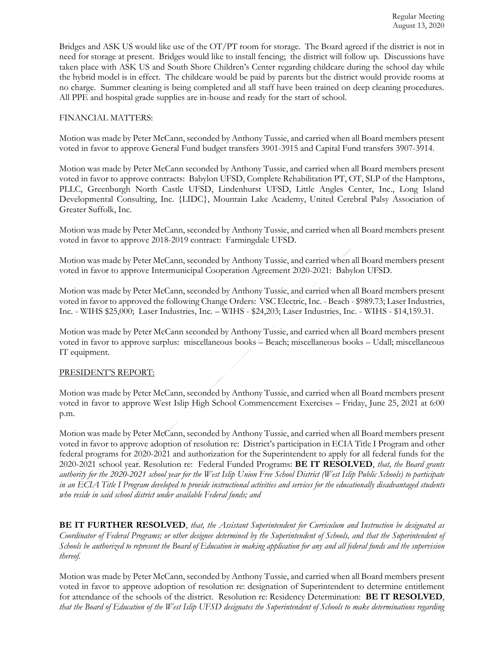Bridges and ASK US would like use of the OT/PT room for storage. The Board agreed if the district is not in need for storage at present. Bridges would like to install fencing; the district will follow up. Discussions have taken place with ASK US and South Shore Children's Center regarding childcare during the school day while the hybrid model is in effect. The childcare would be paid by parents but the district would provide rooms at no charge. Summer cleaning is being completed and all staff have been trained on deep cleaning procedures. All PPE and hospital grade supplies are in-house and ready for the start of school.

# FINANCIAL MATTERS:

Motion was made by Peter McCann, seconded by Anthony Tussie, and carried when all Board members present voted in favor to approve General Fund budget transfers 3901-3915 and Capital Fund transfers 3907-3914.

Motion was made by Peter McCann seconded by Anthony Tussie, and carried when all Board members present voted in favor to approve contracts: Babylon UFSD, Complete Rehabilitation PT, OT, SLP of the Hamptons, PLLC, Greenburgh North Castle UFSD, Lindenhurst UFSD, Little Angles Center, Inc., Long Island Developmental Consulting, Inc. {LIDC}, Mountain Lake Academy, United Cerebral Palsy Association of Greater Suffolk, Inc.

Motion was made by Peter McCann, seconded by Anthony Tussie, and carried when all Board members present voted in favor to approve 2018-2019 contract: Farmingdale UFSD.

Motion was made by Peter McCann, seconded by Anthony Tussie, and carried when all Board members present voted in favor to approve Intermunicipal Cooperation Agreement 2020-2021: Babylon UFSD.

Motion was made by Peter McCann, seconded by Anthony Tussie, and carried when all Board members present voted in favor to approved the following Change Orders: VSC Electric, Inc. - Beach - \$989.73; Laser Industries, Inc. - WIHS \$25,000; Laser Industries, Inc. – WIHS - \$24,203; Laser Industries, Inc. - WIHS - \$14,159.31.

Motion was made by Peter McCann seconded by Anthony Tussie, and carried when all Board members present voted in favor to approve surplus: miscellaneous books – Beach; miscellaneous books – Udall; miscellaneous IT equipment.

#### PRESIDENT'S REPORT:

Motion was made by Peter McCann, seconded by Anthony Tussie, and carried when all Board members present voted in favor to approve West Islip High School Commencement Exercises – Friday, June 25, 2021 at 6:00 p.m.

Motion was made by Peter McCann, seconded by Anthony Tussie, and carried when all Board members present voted in favor to approve adoption of resolution re: District's participation in ECIA Title I Program and other federal programs for 2020-2021 and authorization for the Superintendent to apply for all federal funds for the 2020-2021 school year. Resolution re: Federal Funded Programs: **BE IT RESOLVED**, *that, the Board grants authority for the 2020-2021 school year for the West Islip Union Free School District (West Islip Public Schools) to participate in an ECIA Title I Program developed to provide instructional activities and services for the educationally disadvantaged students who reside in said school district under available Federal funds; and* 

**BE IT FURTHER RESOLVED**, *that, the Assistant Superintendent for Curriculum and Instruction be designated as Coordinator of Federal Programs; or other designee determined by the Superintendent of Schools, and that the Superintendent of Schools be authorized to represent the Board of Education in making application for any and all federal funds and the supervision thereof.*

Motion was made by Peter McCann, seconded by Anthony Tussie, and carried when all Board members present voted in favor to approve adoption of resolution re: designation of Superintendent to determine entitlement for attendance of the schools of the district. Resolution re: Residency Determination: **BE IT RESOLVED**, *that the Board of Education of the West Islip UFSD designates the Superintendent of Schools to make determinations regarding*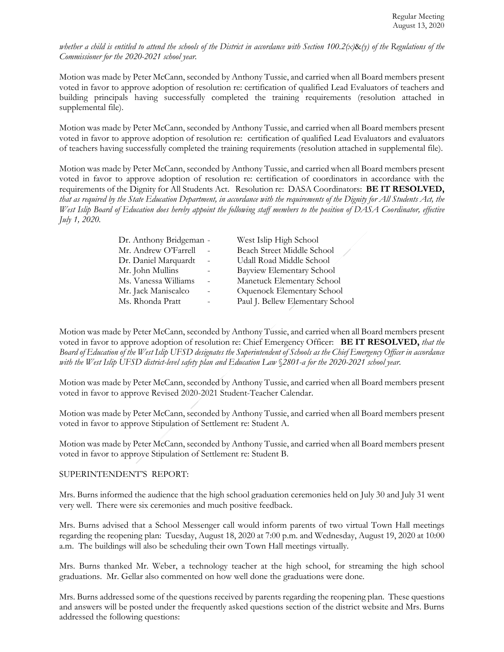*whether a child is entitled to attend the schools of the District in accordance with Section 100.2(x)*&*(y) of the Regulations of the Commissioner for the 2020-2021 school year.*

Motion was made by Peter McCann, seconded by Anthony Tussie, and carried when all Board members present voted in favor to approve adoption of resolution re: certification of qualified Lead Evaluators of teachers and building principals having successfully completed the training requirements (resolution attached in supplemental file).

Motion was made by Peter McCann, seconded by Anthony Tussie, and carried when all Board members present voted in favor to approve adoption of resolution re: certification of qualified Lead Evaluators and evaluators of teachers having successfully completed the training requirements (resolution attached in supplemental file).

Motion was made by Peter McCann, seconded by Anthony Tussie, and carried when all Board members present voted in favor to approve adoption of resolution re: certification of coordinators in accordance with the requirements of the Dignity for All Students Act. Resolution re: DASA Coordinators: **BE IT RESOLVED,** *that as required by the State Education Department, in accordance with the requirements of the Dignity for All Students Act, the West Islip Board of Education does hereby appoint the following staff members to the position of DASA Coordinator, effective July 1, 2020.*

| Dr. Anthony Bridgeman - | West Islip High School           |  |
|-------------------------|----------------------------------|--|
| Mr. Andrew O'Farrell    | Beach Street Middle School       |  |
| Dr. Daniel Marquardt    | Udall Road Middle School         |  |
| Mr. John Mullins        | Bayview Elementary School        |  |
| Ms. Vanessa Williams    | Manetuck Elementary School       |  |
| Mr. Jack Maniscalco     | Oquenock Elementary School       |  |
| Ms. Rhonda Pratt        | Paul J. Bellew Elementary School |  |
|                         |                                  |  |

Motion was made by Peter McCann, seconded by Anthony Tussie, and carried when all Board members present voted in favor to approve adoption of resolution re: Chief Emergency Officer: **BE IT RESOLVED,** *that the Board of Education of the West Islip UFSD designates the Superintendent of Schools as the Chief Emergency Officer in accordance with the West Islip UFSD district-level safety plan and Education Law* §*2801-a for the 2020-2021 school year.*

Motion was made by Peter McCann, seconded by Anthony Tussie, and carried when all Board members present voted in favor to approve Revised 2020-2021 Student-Teacher Calendar.

Motion was made by Peter McCann, seconded by Anthony Tussie, and carried when all Board members present voted in favor to approve Stipulation of Settlement re: Student A.

Motion was made by Peter McCann, seconded by Anthony Tussie, and carried when all Board members present voted in favor to approve Stipulation of Settlement re: Student B.

#### SUPERINTENDENT'S REPORT:

Mrs. Burns informed the audience that the high school graduation ceremonies held on July 30 and July 31 went very well. There were six ceremonies and much positive feedback.

Mrs. Burns advised that a School Messenger call would inform parents of two virtual Town Hall meetings regarding the reopening plan: Tuesday, August 18, 2020 at 7:00 p.m. and Wednesday, August 19, 2020 at 10:00 a.m. The buildings will also be scheduling their own Town Hall meetings virtually.

Mrs. Burns thanked Mr. Weber, a technology teacher at the high school, for streaming the high school graduations. Mr. Gellar also commented on how well done the graduations were done.

Mrs. Burns addressed some of the questions received by parents regarding the reopening plan. These questions and answers will be posted under the frequently asked questions section of the district website and Mrs. Burns addressed the following questions: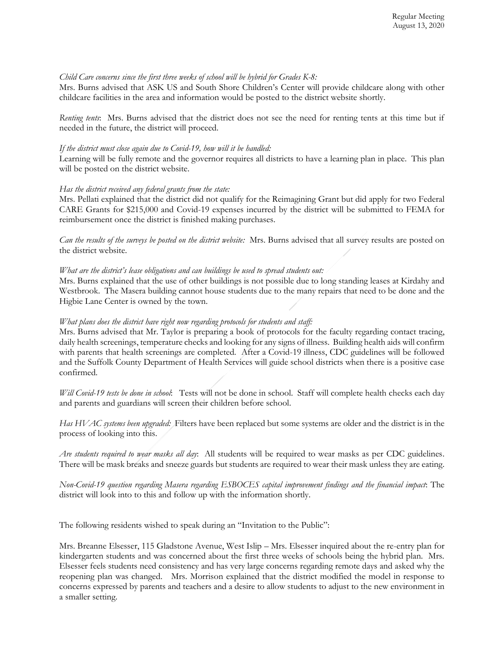# *Child Care concerns since the first three weeks of school will be hybrid for Grades K-8:*

Mrs. Burns advised that ASK US and South Shore Children's Center will provide childcare along with other childcare facilities in the area and information would be posted to the district website shortly.

*Renting tents*: Mrs. Burns advised that the district does not see the need for renting tents at this time but if needed in the future, the district will proceed.

### *If the district must close again due to Covid-19, how will it be handled:*

Learning will be fully remote and the governor requires all districts to have a learning plan in place. This plan will be posted on the district website.

### *Has the district received any federal grants from the state:*

Mrs. Pellati explained that the district did not qualify for the Reimagining Grant but did apply for two Federal CARE Grants for \$215,000 and Covid-19 expenses incurred by the district will be submitted to FEMA for reimbursement once the district is finished making purchases.

*Can the results of the surveys be posted on the district website:* Mrs. Burns advised that all survey results are posted on the district website.

# *What are the district's lease obligations and can buildings be used to spread students out:*

Mrs. Burns explained that the use of other buildings is not possible due to long standing leases at Kirdahy and Westbrook. The Masera building cannot house students due to the many repairs that need to be done and the Higbie Lane Center is owned by the town.

### *What plans does the district have right now regarding protocols for students and staff:*

Mrs. Burns advised that Mr. Taylor is preparing a book of protocols for the faculty regarding contact tracing, daily health screenings, temperature checks and looking for any signs of illness. Building health aids will confirm with parents that health screenings are completed. After a Covid-19 illness, CDC guidelines will be followed and the Suffolk County Department of Health Services will guide school districts when there is a positive case confirmed.

*Will Covid-19 tests be done in school*: Tests will not be done in school. Staff will complete health checks each day and parents and guardians will screen their children before school.

*Has HVAC systems been upgraded:* Filters have been replaced but some systems are older and the district is in the process of looking into this.

*Are students required to wear masks all day*: All students will be required to wear masks as per CDC guidelines. There will be mask breaks and sneeze guards but students are required to wear their mask unless they are eating.

*Non-Covid-19 question regarding Masera regarding ESBOCES capital improvement findings and the financial impact*: The district will look into to this and follow up with the information shortly.

The following residents wished to speak during an "Invitation to the Public":

Mrs. Breanne Elsesser, 115 Gladstone Avenue, West Islip – Mrs. Elsesser inquired about the re-entry plan for kindergarten students and was concerned about the first three weeks of schools being the hybrid plan. Mrs. Elsesser feels students need consistency and has very large concerns regarding remote days and asked why the reopening plan was changed. Mrs. Morrison explained that the district modified the model in response to concerns expressed by parents and teachers and a desire to allow students to adjust to the new environment in a smaller setting.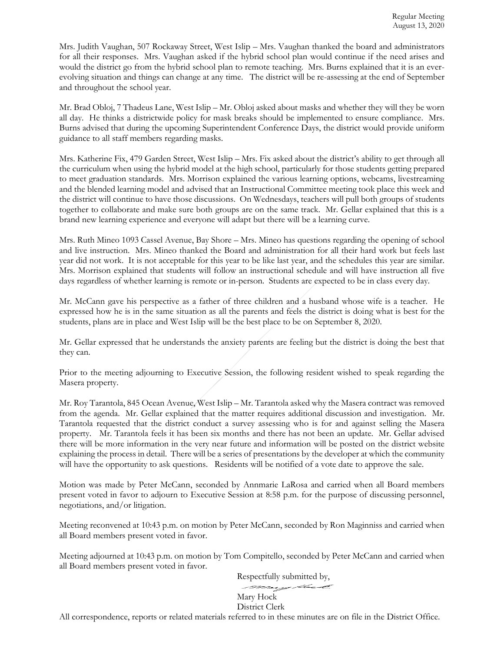Mrs. Judith Vaughan, 507 Rockaway Street, West Islip – Mrs. Vaughan thanked the board and administrators for all their responses. Mrs. Vaughan asked if the hybrid school plan would continue if the need arises and would the district go from the hybrid school plan to remote teaching. Mrs. Burns explained that it is an everevolving situation and things can change at any time. The district will be re-assessing at the end of September and throughout the school year.

Mr. Brad Obloj, 7 Thadeus Lane, West Islip – Mr. Obloj asked about masks and whether they will they be worn all day. He thinks a districtwide policy for mask breaks should be implemented to ensure compliance. Mrs. Burns advised that during the upcoming Superintendent Conference Days, the district would provide uniform guidance to all staff members regarding masks.

Mrs. Katherine Fix, 479 Garden Street, West Islip – Mrs. Fix asked about the district's ability to get through all the curriculum when using the hybrid model at the high school, particularly for those students getting prepared to meet graduation standards. Mrs. Morrison explained the various learning options, webcams, livestreaming and the blended learning model and advised that an Instructional Committee meeting took place this week and the district will continue to have those discussions. On Wednesdays, teachers will pull both groups of students together to collaborate and make sure both groups are on the same track. Mr. Gellar explained that this is a brand new learning experience and everyone will adapt but there will be a learning curve.

Mrs. Ruth Mineo 1093 Cassel Avenue, Bay Shore – Mrs. Mineo has questions regarding the opening of school and live instruction. Mrs. Mineo thanked the Board and administration for all their hard work but feels last year did not work. It is not acceptable for this year to be like last year, and the schedules this year are similar. Mrs. Morrison explained that students will follow an instructional schedule and will have instruction all five days regardless of whether learning is remote or in-person. Students are expected to be in class every day.

Mr. McCann gave his perspective as a father of three children and a husband whose wife is a teacher. He expressed how he is in the same situation as all the parents and feels the district is doing what is best for the students, plans are in place and West Islip will be the best place to be on September 8, 2020.

Mr. Gellar expressed that he understands the anxiety parents are feeling but the district is doing the best that they can.

Prior to the meeting adjourning to Executive Session, the following resident wished to speak regarding the Masera property.

Mr. Roy Tarantola, 845 Ocean Avenue, West Islip – Mr. Tarantola asked why the Masera contract was removed from the agenda. Mr. Gellar explained that the matter requires additional discussion and investigation. Mr. Tarantola requested that the district conduct a survey assessing who is for and against selling the Masera property. Mr. Tarantola feels it has been six months and there has not been an update. Mr. Gellar advised there will be more information in the very near future and information will be posted on the district website explaining the process in detail. There will be a series of presentations by the developer at which the community will have the opportunity to ask questions. Residents will be notified of a vote date to approve the sale.

Motion was made by Peter McCann, seconded by Annmarie LaRosa and carried when all Board members present voted in favor to adjourn to Executive Session at 8:58 p.m. for the purpose of discussing personnel, negotiations, and/or litigation.

Meeting reconvened at 10:43 p.m. on motion by Peter McCann, seconded by Ron Maginniss and carried when all Board members present voted in favor.

Meeting adjourned at 10:43 p.m. on motion by Tom Compitello, seconded by Peter McCann and carried when all Board members present voted in favor.

> Respectfully submitted by, mary the s

# Mary Hock District Clerk

All correspondence, reports or related materials referred to in these minutes are on file in the District Office.